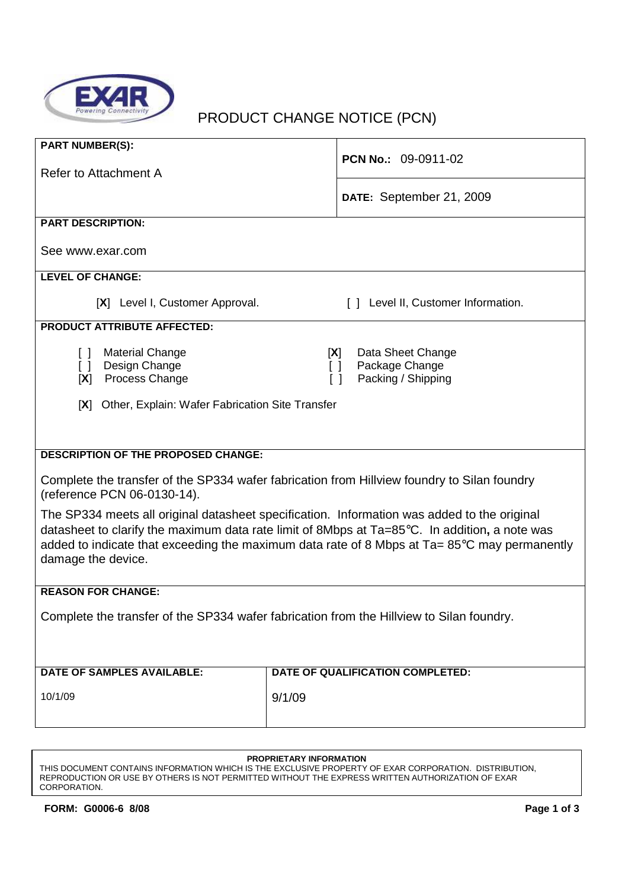

# PRODUCT CHANGE NOTICE (PCN)

| <b>PART NUMBER(S):</b>                                                                                                                                                                                                                                                                                                       | <b>PCN No.: 09-0911-02</b>                                                           |  |
|------------------------------------------------------------------------------------------------------------------------------------------------------------------------------------------------------------------------------------------------------------------------------------------------------------------------------|--------------------------------------------------------------------------------------|--|
| Refer to Attachment A                                                                                                                                                                                                                                                                                                        |                                                                                      |  |
|                                                                                                                                                                                                                                                                                                                              | DATE: September 21, 2009                                                             |  |
| <b>PART DESCRIPTION:</b>                                                                                                                                                                                                                                                                                                     |                                                                                      |  |
| See www.exar.com                                                                                                                                                                                                                                                                                                             |                                                                                      |  |
| <b>LEVEL OF CHANGE:</b>                                                                                                                                                                                                                                                                                                      |                                                                                      |  |
| [X] Level I, Customer Approval.                                                                                                                                                                                                                                                                                              | [ ] Level II, Customer Information.                                                  |  |
| <b>PRODUCT ATTRIBUTE AFFECTED:</b>                                                                                                                                                                                                                                                                                           |                                                                                      |  |
| <b>Material Change</b><br>$\Box$<br>Design Change<br>$\begin{bmatrix} 1 \end{bmatrix}$<br>Process Change<br>[X]                                                                                                                                                                                                              | Data Sheet Change<br>[X]<br>Package Change<br>$\Box$<br>Packing / Shipping<br>$\Box$ |  |
| Other, Explain: Wafer Fabrication Site Transfer<br>[X]                                                                                                                                                                                                                                                                       |                                                                                      |  |
|                                                                                                                                                                                                                                                                                                                              |                                                                                      |  |
| <b>DESCRIPTION OF THE PROPOSED CHANGE:</b>                                                                                                                                                                                                                                                                                   |                                                                                      |  |
| Complete the transfer of the SP334 wafer fabrication from Hillview foundry to Silan foundry<br>(reference PCN 06-0130-14).                                                                                                                                                                                                   |                                                                                      |  |
| The SP334 meets all original datasheet specification. Information was added to the original<br>datasheet to clarify the maximum data rate limit of 8Mbps at Ta=85°C. In addition, a note was<br>added to indicate that exceeding the maximum data rate of 8 Mbps at $Ta = 85^{\circ}C$ may permanently<br>damage the device. |                                                                                      |  |
| <b>REASON FOR CHANGE:</b>                                                                                                                                                                                                                                                                                                    |                                                                                      |  |
| Complete the transfer of the SP334 wafer fabrication from the Hillview to Silan foundry.                                                                                                                                                                                                                                     |                                                                                      |  |
| <b>DATE OF SAMPLES AVAILABLE:</b>                                                                                                                                                                                                                                                                                            | DATE OF QUALIFICATION COMPLETED:                                                     |  |
| 10/1/09                                                                                                                                                                                                                                                                                                                      | 9/1/09                                                                               |  |
|                                                                                                                                                                                                                                                                                                                              |                                                                                      |  |

#### **PROPRIETARY INFORMATION**

THIS DOCUMENT CONTAINS INFORMATION WHICH IS THE EXCLUSIVE PROPERTY OF EXAR CORPORATION. DISTRIBUTION, REPRODUCTION OR USE BY OTHERS IS NOT PERMITTED WITHOUT THE EXPRESS WRITTEN AUTHORIZATION OF EXAR CORPORATION.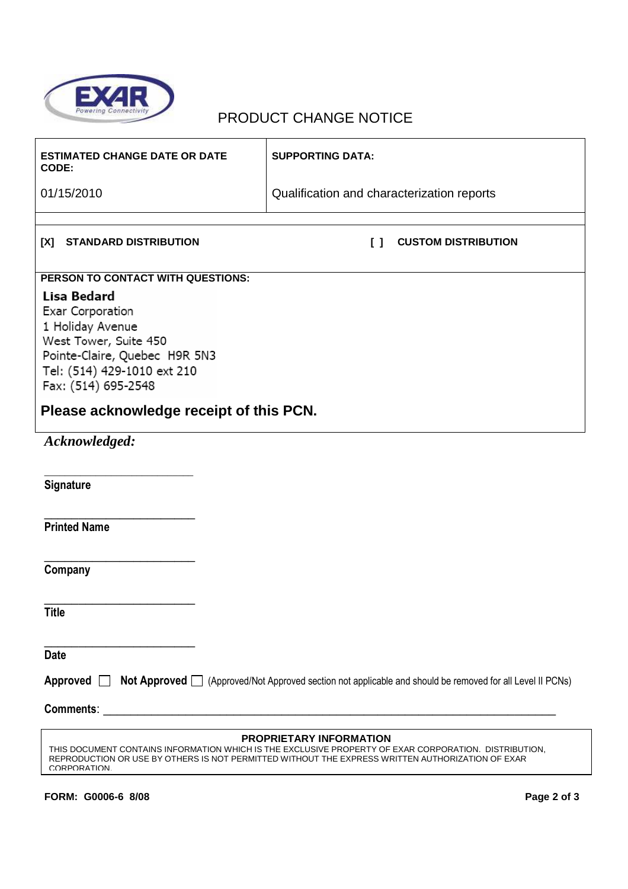

## PRODUCT CHANGE NOTICE

| <b>ESTIMATED CHANGE DATE OR DATE</b><br>CODE:                                                                                                                                                                                                              | <b>SUPPORTING DATA:</b>                    |  |
|------------------------------------------------------------------------------------------------------------------------------------------------------------------------------------------------------------------------------------------------------------|--------------------------------------------|--|
| 01/15/2010                                                                                                                                                                                                                                                 | Qualification and characterization reports |  |
| [X] STANDARD DISTRIBUTION                                                                                                                                                                                                                                  | <b>CUSTOM DISTRIBUTION</b><br>$\Box$       |  |
| PERSON TO CONTACT WITH QUESTIONS:                                                                                                                                                                                                                          |                                            |  |
| Lisa Bedard<br>Exar Corporation<br>1 Holiday Avenue<br>West Tower, Suite 450<br>Pointe-Claire, Quebec H9R 5N3<br>Tel: (514) 429-1010 ext 210<br>Fax: (514) 695-2548                                                                                        |                                            |  |
| Please acknowledge receipt of this PCN.                                                                                                                                                                                                                    |                                            |  |
| Acknowledged:                                                                                                                                                                                                                                              |                                            |  |
| Signature                                                                                                                                                                                                                                                  |                                            |  |
| <b>Printed Name</b>                                                                                                                                                                                                                                        |                                            |  |
| Company                                                                                                                                                                                                                                                    |                                            |  |
| <b>Title</b>                                                                                                                                                                                                                                               |                                            |  |
| <b>Date</b>                                                                                                                                                                                                                                                |                                            |  |
| Approved $\Box$<br>Not Approved □ (Approved/Not Approved section not applicable and should be removed for all Level II PCNs)                                                                                                                               |                                            |  |
| <b>Comments:</b><br><u> 1980 - Jan Stein Stein Stein Stein Stein Stein Stein Stein Stein Stein Stein Stein Stein Stein Stein Stein S</u>                                                                                                                   |                                            |  |
| <b>PROPRIETARY INFORMATION</b><br>THIS DOCUMENT CONTAINS INFORMATION WHICH IS THE EXCLUSIVE PROPERTY OF EXAR CORPORATION. DISTRIBUTION,<br>REPRODUCTION OR USE BY OTHERS IS NOT PERMITTED WITHOUT THE EXPRESS WRITTEN AUTHORIZATION OF EXAR<br>CORPORATION |                                            |  |